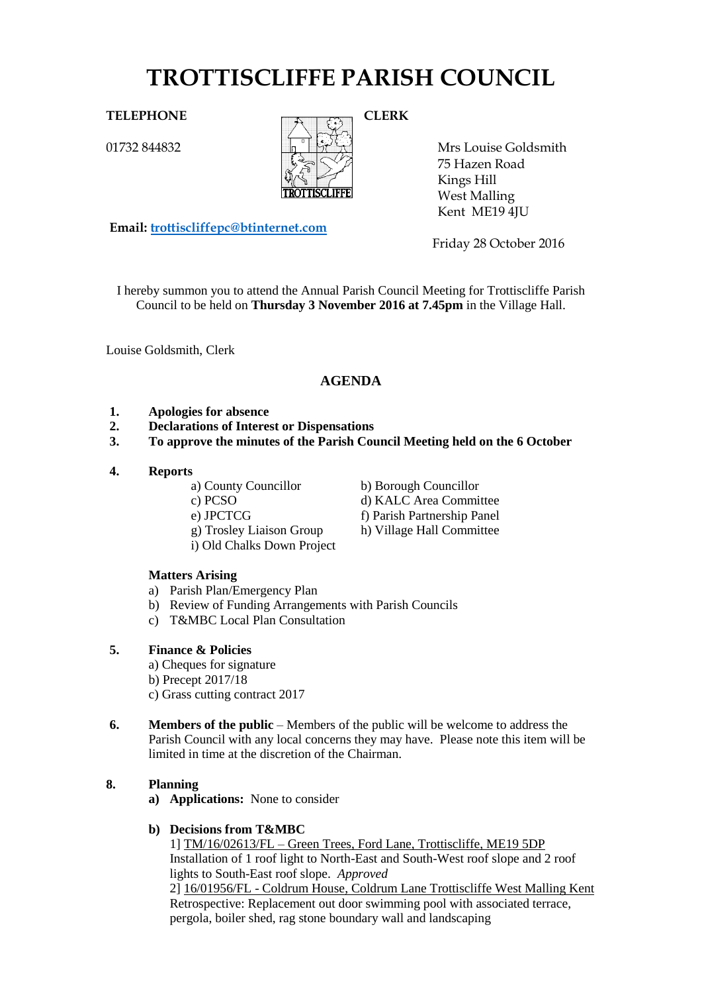# **TROTTISCLIFFE PARISH COUNCIL**

# TELEPHONE CLERK

01732 844832



Mrs Louise Goldsmith 75 Hazen Road Kings Hill West Malling Kent ME19 4JU

Friday 28 October 2016

I hereby summon you to attend the Annual Parish Council Meeting for Trottiscliffe Parish Council to be held on **Thursday 3 November 2016 at 7.45pm** in the Village Hall.

Louise Goldsmith, Clerk

# **AGENDA**

- **1. Apologies for absence**
- **2. Declarations of Interest or Dispensations**
- **3. To approve the minutes of the Parish Council Meeting held on the 6 October**
- **4. Reports**
	-
	-

**Email: [trottiscliffepc@btinternet.com](mailto:trottiscliffepc@btinternet.com)**

- 
- g) Trosley Liaison Group h) Village Hall Committee
- i) Old Chalks Down Project
- a) County Councillor b) Borough Councillor c) PCSO d) KALC Area Committee e) JPCTCG f) Parish Partnership Panel

# **Matters Arising**

- a) Parish Plan/Emergency Plan
- b) Review of Funding Arrangements with Parish Councils
- c) T&MBC Local Plan Consultation

# **5. Finance & Policies**

- a) Cheques for signature
- b) Precept 2017/18
- c) Grass cutting contract 2017
- **6. Members of the public** Members of the public will be welcome to address the Parish Council with any local concerns they may have. Please note this item will be limited in time at the discretion of the Chairman.

# **8. Planning**

**a) Applications:** None to consider

# **b) Decisions from T&MBC**

1] TM/16/02613/FL – Green Trees, Ford Lane, Trottiscliffe, ME19 5DP Installation of 1 roof light to North-East and South-West roof slope and 2 roof lights to South-East roof slope. *Approved*

2] 16/01956/FL - Coldrum House, Coldrum Lane Trottiscliffe West Malling Kent Retrospective: Replacement out door swimming pool with associated terrace, pergola, boiler shed, rag stone boundary wall and landscaping